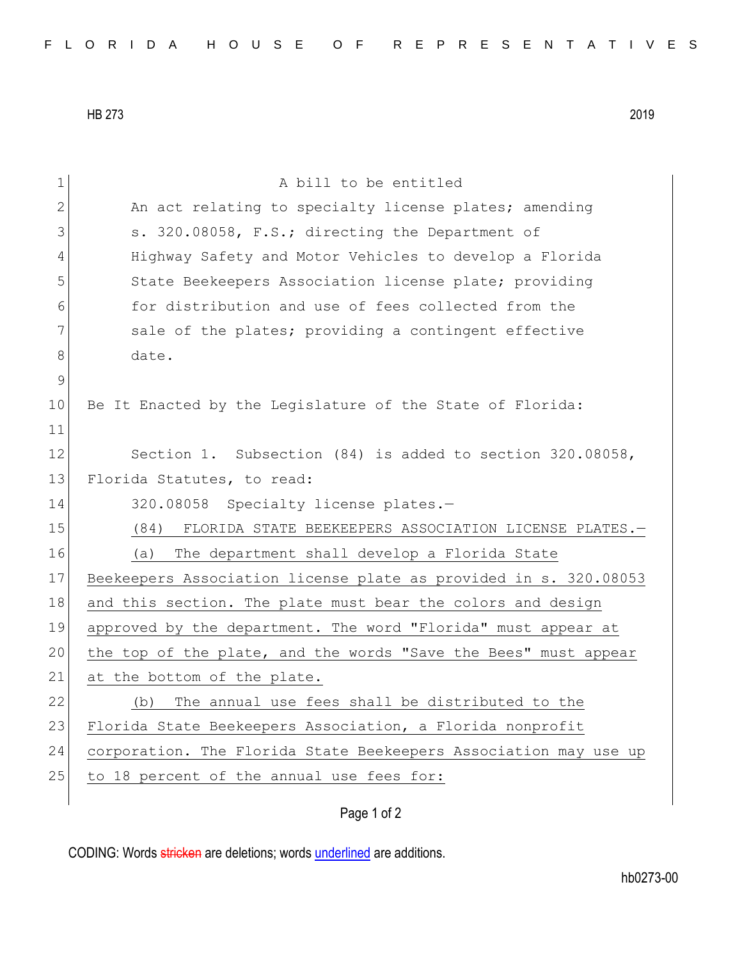HB 273 2019

| 1           | A bill to be entitled                                            |
|-------------|------------------------------------------------------------------|
| 2           | An act relating to specialty license plates; amending            |
| 3           | s. 320.08058, F.S.; directing the Department of                  |
| 4           | Highway Safety and Motor Vehicles to develop a Florida           |
| 5           | State Beekeepers Association license plate; providing            |
| 6           | for distribution and use of fees collected from the              |
| 7           | sale of the plates; providing a contingent effective             |
| 8           | date.                                                            |
| $\mathsf 9$ |                                                                  |
| 10          | Be It Enacted by the Legislature of the State of Florida:        |
| 11          |                                                                  |
| 12          | Section 1. Subsection (84) is added to section 320.08058,        |
| 13          | Florida Statutes, to read:                                       |
| 14          | 320.08058 Specialty license plates.-                             |
| 15          | (84)<br>FLORIDA STATE BEEKEEPERS ASSOCIATION LICENSE PLATES.-    |
| 16          | The department shall develop a Florida State<br>(a)              |
| 17          | Beekeepers Association license plate as provided in s. 320.08053 |
| 18          | and this section. The plate must bear the colors and design      |
| 19          | approved by the department. The word "Florida" must appear at    |
| 20          | the top of the plate, and the words "Save the Bees" must appear  |
| 21          | at the bottom of the plate.                                      |
| 22          | The annual use fees shall be distributed to the<br>(b)           |
| 23          | Florida State Beekeepers Association, a Florida nonprofit        |
| 24          | corporation. The Florida State Beekeepers Association may use up |
| 25          |                                                                  |
|             | to 18 percent of the annual use fees for:                        |

Page 1 of 2

CODING: Words stricken are deletions; words underlined are additions.